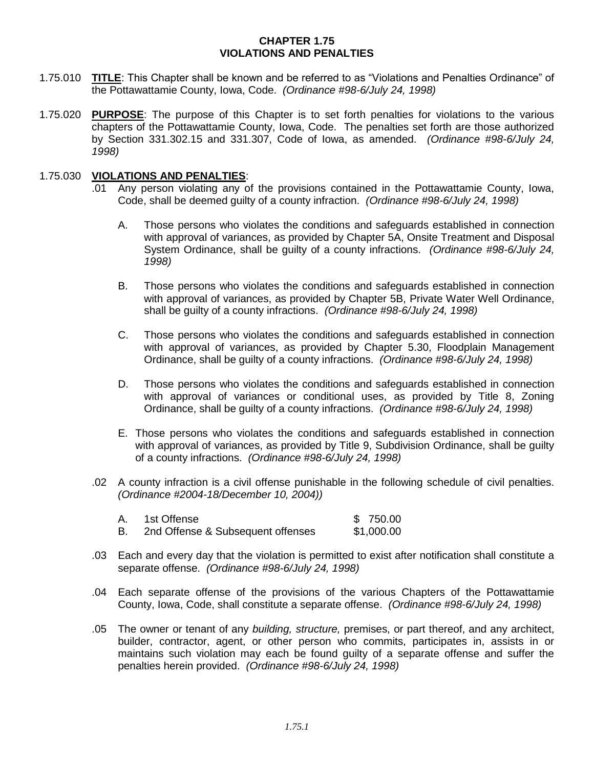## **CHAPTER 1.75 VIOLATIONS AND PENALTIES**

- 1.75.010 **TITLE**: This Chapter shall be known and be referred to as "Violations and Penalties Ordinance" of the Pottawattamie County, Iowa, Code. *(Ordinance #98-6/July 24, 1998)*
- 1.75.020 **PURPOSE**: The purpose of this Chapter is to set forth penalties for violations to the various chapters of the Pottawattamie County, Iowa, Code. The penalties set forth are those authorized by Section 331.302.15 and 331.307, Code of Iowa, as amended. *(Ordinance #98-6/July 24, 1998)*

## 1.75.030 **VIOLATIONS AND PENALTIES**:

- .01 Any person violating any of the provisions contained in the Pottawattamie County, Iowa, Code, shall be deemed guilty of a county infraction. *(Ordinance #98-6/July 24, 1998)*
	- A. Those persons who violates the conditions and safeguards established in connection with approval of variances, as provided by Chapter 5A, Onsite Treatment and Disposal System Ordinance, shall be guilty of a county infractions. *(Ordinance #98-6/July 24, 1998)*
	- B. Those persons who violates the conditions and safeguards established in connection with approval of variances, as provided by Chapter 5B, Private Water Well Ordinance, shall be guilty of a county infractions. *(Ordinance #98-6/July 24, 1998)*
	- C. Those persons who violates the conditions and safeguards established in connection with approval of variances, as provided by Chapter 5.30, Floodplain Management Ordinance, shall be guilty of a county infractions. *(Ordinance #98-6/July 24, 1998)*
	- D. Those persons who violates the conditions and safeguards established in connection with approval of variances or conditional uses, as provided by Title 8, Zoning Ordinance, shall be guilty of a county infractions. *(Ordinance #98-6/July 24, 1998)*
	- E. Those persons who violates the conditions and safeguards established in connection with approval of variances, as provided by Title 9, Subdivision Ordinance, shall be guilty of a county infractions. *(Ordinance #98-6/July 24, 1998)*
- .02 A county infraction is a civil offense punishable in the following schedule of civil penalties. *(Ordinance #2004-18/December 10, 2004))*
	- A. 1st Offense **\$ 750.00** B. 2nd Offense & Subsequent offenses \$1,000.00
- .03 Each and every day that the violation is permitted to exist after notification shall constitute a separate offense. *(Ordinance #98-6/July 24, 1998)*
- .04 Each separate offense of the provisions of the various Chapters of the Pottawattamie County, Iowa, Code, shall constitute a separate offense. *(Ordinance #98-6/July 24, 1998)*
- .05 The owner or tenant of any *building, structure,* premises, or part thereof, and any architect, builder, contractor, agent, or other person who commits, participates in, assists in or maintains such violation may each be found guilty of a separate offense and suffer the penalties herein provided. *(Ordinance #98-6/July 24, 1998)*